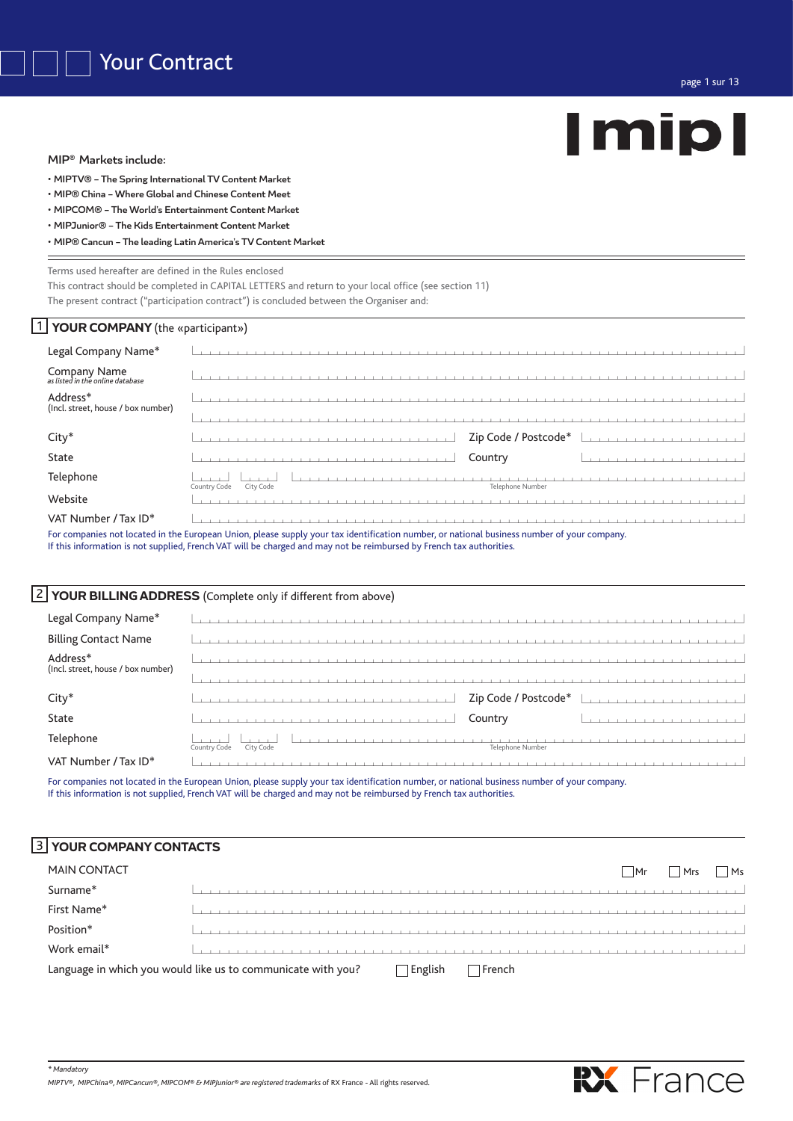MIP® Markets include:

- MIPTV® The Spring International TV Content Market
- MIP® China Where Global and Chinese Content Meet
- MIPCOM® The World's Entertainment Content Market
- MIPJunior® The Kids Entertainment Content Market

|  | . MIP® Cancun - The leading Latin America's TV Content Market |
|--|---------------------------------------------------------------|
|--|---------------------------------------------------------------|

# Terms used hereafter are defined in the Rules enclosed

This contract should be completed in CAPITAL LETTERS and return to your local office (see section 11) The present contract ("participation contract") is concluded between the Organiser and:

# 1 YOUR COMPANY (the «participant»)

| Legal Company Name*                              |                                                                                                                                                                                                                                                                     |
|--------------------------------------------------|---------------------------------------------------------------------------------------------------------------------------------------------------------------------------------------------------------------------------------------------------------------------|
| Company Name<br>as listed in the online database | the contract of the contract of the contract of the con-                                                                                                                                                                                                            |
| Address*<br>(Incl. street, house / box number)   |                                                                                                                                                                                                                                                                     |
|                                                  | the contract of the contract of the contract of the contract of the contract of the contract of the contract of the contract of the contract of the contract of the contract of the contract of the contract of the contract o                                      |
| $City*$                                          | Zip Code / Postcode*<br>and a series and a series and a series of                                                                                                                                                                                                   |
| State                                            | Country<br>the company of the company of the company of                                                                                                                                                                                                             |
| Telephone                                        | Telephone Number<br>Country Code<br>City Code                                                                                                                                                                                                                       |
| Website                                          |                                                                                                                                                                                                                                                                     |
| VAT Number / Tax ID*                             |                                                                                                                                                                                                                                                                     |
|                                                  | For companies not located in the European Union, please supply your tax identification number, or national business number of your company.<br>If this information is not supplied, French VAT will be charged and may not be reimbursed by French tax authorities. |

# 2 **YOUR BILLING ADDRESS** (Complete only if different from above)

| Legal Company Name*                            | the contract of the contract of the                   |
|------------------------------------------------|-------------------------------------------------------|
| <b>Billing Contact Name</b>                    |                                                       |
| Address*<br>(Incl. street, house / box number) |                                                       |
|                                                |                                                       |
| $City*$                                        | Zip Code / Postcode*<br>the company of the company of |
| State                                          | Country                                               |
| Telephone                                      | Telephone Number<br>Country Code<br>City Code         |
| VAT Number / Tax ID*                           |                                                       |

For companies not located in the European Union, please supply your tax identification number, or national business number of your company. If this information is not supplied, French VAT will be charged and may not be reimbursed by French tax authorities.

# 3 **YOUR COMPANY CONTACTS**

*\* Mandatory*

| <b>MAIN CONTACT</b> |                                                                                   | Mr | Mrs | l Ms |
|---------------------|-----------------------------------------------------------------------------------|----|-----|------|
| Surname*            |                                                                                   |    |     |      |
| First Name*         |                                                                                   |    |     |      |
| Position*           |                                                                                   |    |     |      |
| Work email*         |                                                                                   |    |     |      |
|                     | Language in which you would like us to communicate with you?<br>English<br>French |    |     |      |

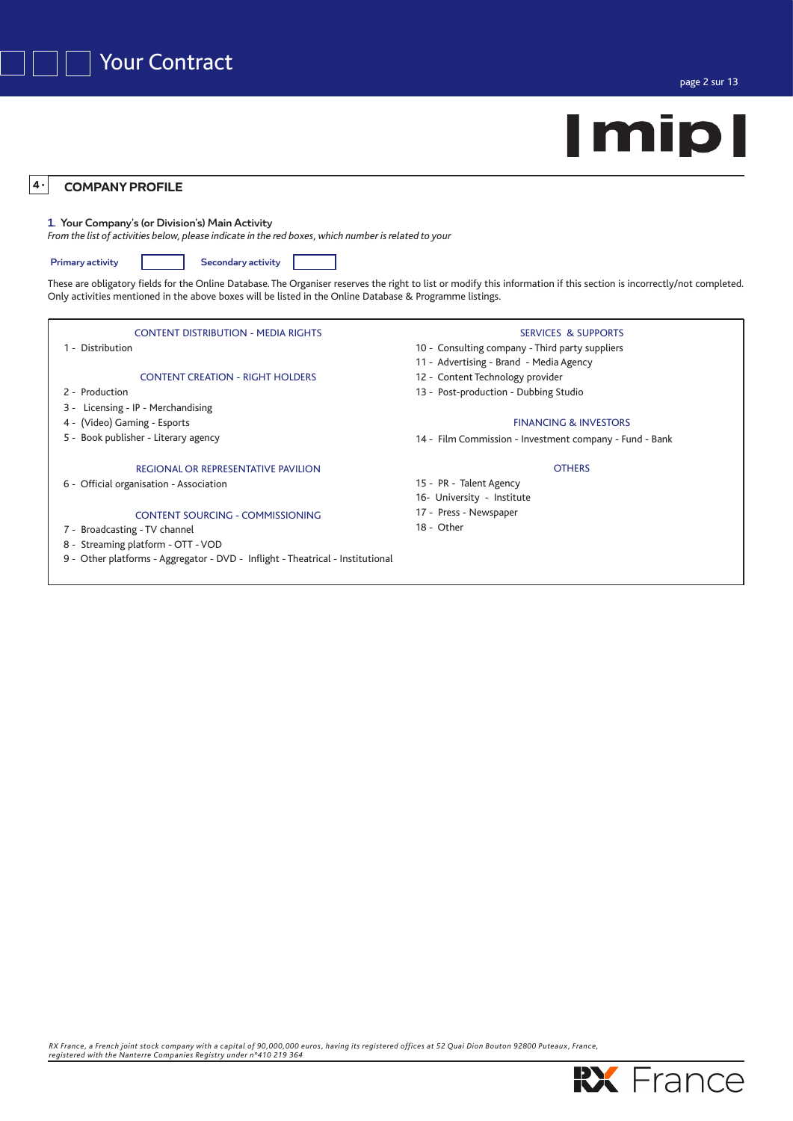

## **COMPANY PROFILE 4** *•*

# 1. Your Company's (or Division's) Main Activity

*From the list of activities below, please indicate in the red boxes, which number is related to your*

Primary activity **Secondary activity** 

These are obligatory fields for the Online Database. The Organiser reserves the right to list or modify this information if this section is incorrectly/not completed. Only activities mentioned in the above boxes will be listed in the Online Database & Programme listings.

# CONTENT DISTRIBUTION - MEDIA RIGHTS

1 - Distribution

# CONTENT CREATION - RIGHT HOLDERS

- 2 Production
- 3 Licensing IP Merchandising
- 4 (Video) Gaming Esports
- 5 Book publisher Literary agency

# REGIONAL OR REPRESENTATIVE PAVILION

6 - Official organisation - Association

# CONTENT SOURCING - COMMISSIONING

- 7 Broadcasting TV channel
- 8 Streaming platform OTT VOD
- 9 Other platforms Aggregator DVD Inflight Theatrical Institutional

# SERVICES & SUPPORTS

- 10 Consulting company Third party suppliers
- 11 Advertising Brand Media Agency
- 12 Content Technology provider
- 13 Post-production Dubbing Studio

# FINANCING & INVESTORS

14 - Film Commission - Investment company - Fund - Bank

# **OTHERS**

- 15 PR Talent Agency
- 16- University Institute
- 17 Press Newspaper
- 18 Other

*RX France, a French joint stock company with a capital of 90,000,000 euros, having its registered offices at 52 Quai Dion Bouton 92800 Puteaux , France, registered with the Nanterre Companies Registry under n°410 219 364*

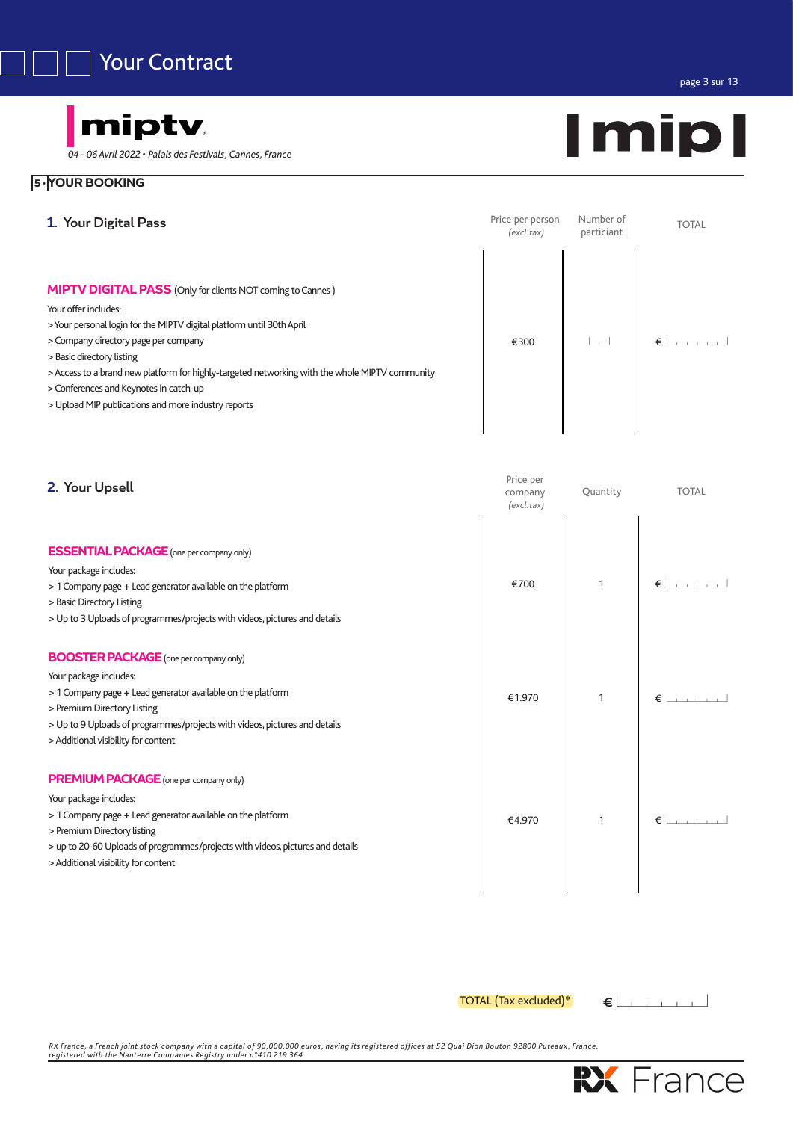

# miptv.

*04 - 06 Avril 2022* • *Palais des Festivals, Cannes, France*

# **5** *•***YOUR BOOKING**



| 2. Your Upsell                                                                                                                                                                                                                                                                                 | Price per<br>company<br>(excl.tax) | Quantity     | <b>TOTAL</b>                                                                 |
|------------------------------------------------------------------------------------------------------------------------------------------------------------------------------------------------------------------------------------------------------------------------------------------------|------------------------------------|--------------|------------------------------------------------------------------------------|
| <b>ESSENTIAL PACKAGE</b> (one per company only)<br>Your package includes:<br>> 1 Company page + Lead generator available on the platform<br>> Basic Directory Listing<br>> Up to 3 Uploads of programmes/projects with videos, pictures and details                                            | €700                               | 1            | $\epsilon$ $\rightarrow$ $\rightarrow$ $\rightarrow$                         |
| <b>BOOSTER PACKAGE</b> (one per company only)<br>Your package includes:<br>> 1 Company page + Lead generator available on the platform<br>> Premium Directory Listing<br>> Up to 9 Uploads of programmes/projects with videos, pictures and details<br>> Additional visibility for content     | €1.970                             | 1            |                                                                              |
| <b>PREMIUM PACKAGE</b> (one per company only)<br>Your package includes:<br>> 1 Company page + Lead generator available on the platform<br>> Premium Directory listing<br>> up to 20-60 Uploads of programmes/projects with videos, pictures and details<br>> Additional visibility for content | €4.970                             | $\mathbf{1}$ | $\epsilon$ $\epsilon$ $\epsilon$ $\epsilon$ $\epsilon$ $\epsilon$ $\epsilon$ |

 $\overline{TOTAL}$  (Tax excluded)\*  $\leftarrow$   $\leftarrow$   $\rightarrow$   $\rightarrow$   $\rightarrow$ 

RX France, a French joint stock company with a capital of 90,000,000 euros, having its registered offices at 52 Quai Dion Bouton 92800 Puteaux, France,<br>registered with the Nanterre Companies Registry under n°410 219 364



page 3 sur 13

# **Imipl**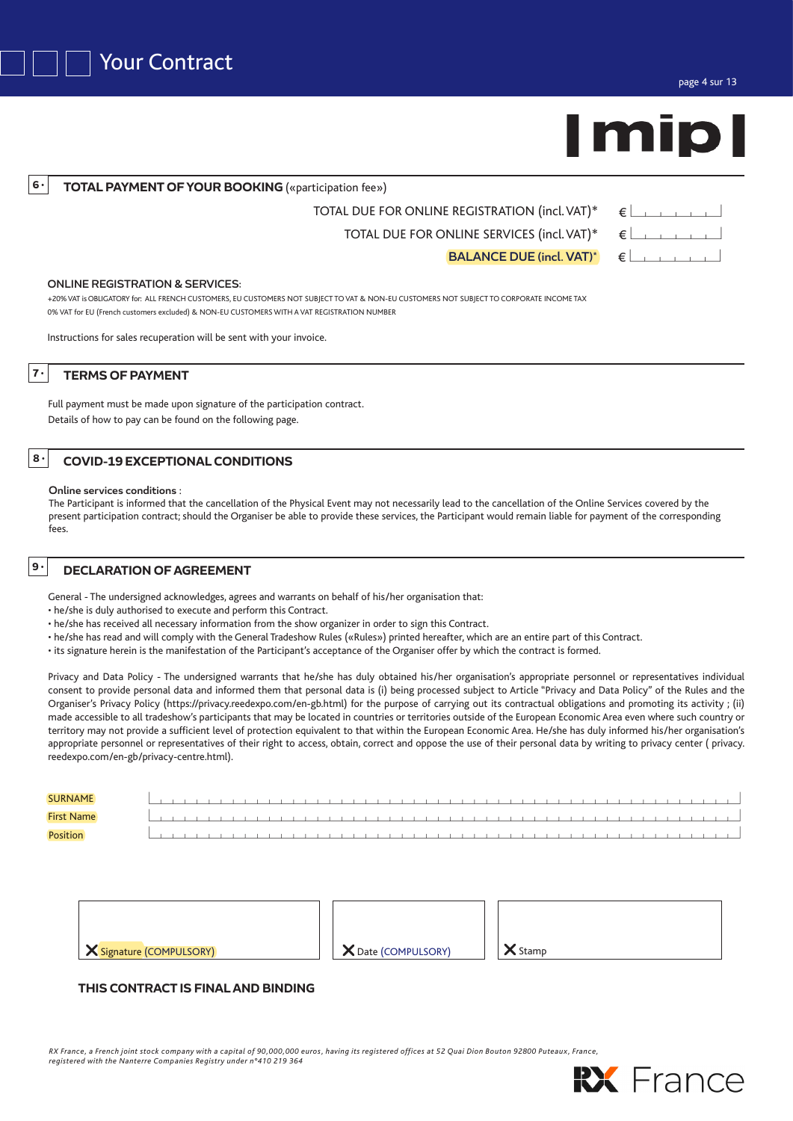

**TOTAL PAYMENT OF YOUR BOOKING** («participation fee»)

| TOTAL DUE FOR ONLINE REGISTRATION (incl. VAT)* $\epsilon$ |  |
|-----------------------------------------------------------|--|
| TOTAL DUE FOR ONLINE SERVICES (incl. VAT)* $\epsilon$     |  |

BALANCE DUE (incl. VAT)\*  $\in$ 

ONLINE REGISTRATION & SERVICES:

+20% VAT is OBLIGATORY for: ALL FRENCH CUSTOMERS, EU CUSTOMERS NOT SUBJECT TO VAT & NON-EU CUSTOMERS NOT SUBJECT TO CORPORATE INCOME TAX 0% VAT for EU (French customers excluded) & NON-EU CUSTOMERS WITH A VAT REGISTRATION NUMBER

Instructions for sales recuperation will be sent with your invoice.

**TERMS OF PAYMENT**

**6** *•*

**7** *•*

Full payment must be made upon signature of the participation contract. Details of how to pay can be found on the following page.

# **<sup>8</sup>** *•* **COVID-19 EXCEPTIONAL CONDITIONS**

Online services conditions :

The Participant is informed that the cancellation of the Physical Event may not necessarily lead to the cancellation of the Online Services covered by the present participation contract; should the Organiser be able to provide these services, the Participant would remain liable for payment of the corresponding fees.

# **DECLARATION OF AGREEMENT <sup>9</sup>***•*

General - The undersigned acknowledges, agrees and warrants on behalf of his/her organisation that:

- he/she is duly authorised to execute and perform this Contract.
- he/she has received all necessary information from the show organizer in order to sign this Contract.
- he/she has read and will comply with the General Tradeshow Rules («Rules») printed hereafter, which are an entire part of this Contract.
- its signature herein is the manifestation of the Participant's acceptance of the Organiser offer by which the contract is formed.

Privacy and Data Policy - The undersigned warrants that he/she has duly obtained his/her organisation's appropriate personnel or representatives individual consent to provide personal data and informed them that personal data is (i) being processed subject to Article "Privacy and Data Policy" of the Rules and the Organiser's Privacy Policy (https://privacy.reedexpo.com/en-gb.html) for the purpose of carrying out its contractual obligations and promoting its activity ; (ii) made accessible to all tradeshow's participants that may be located in countries or territories outside of the European Economic Area even where such country or territory may not provide a sufficient level of protection equivalent to that within the European Economic Area. He/she has duly informed his/her organisation's appropriate personnel or representatives of their right to access, obtain, correct and oppose the use of their personal data by writing to privacy center ( privacy. reedexpo.com/en-gb/privacy-centre.html).

| <b>SURNAME</b>    |  |  |  |  |  |                   |  |  |  |  |   |        |               |  |  |  |  |  |  |  |  |  |  |
|-------------------|--|--|--|--|--|-------------------|--|--|--|--|---|--------|---------------|--|--|--|--|--|--|--|--|--|--|
| <b>First Name</b> |  |  |  |  |  |                   |  |  |  |  |   |        |               |  |  |  |  |  |  |  |  |  |  |
| Position          |  |  |  |  |  | $\sim$ 1 $\sim$ 1 |  |  |  |  | . | $\sim$ | and the state |  |  |  |  |  |  |  |  |  |  |

| <b>X</b> Signature (COMPULSORY) | X Date (COMPULSORY) | X Stamp |
|---------------------------------|---------------------|---------|

# **THIS CONTRACT IS FINAL AND BINDING**

*RX France, a French joint stock company with a capital of 90,000,000 euros, having its registered offices at 52 Quai Dion Bouton 92800 Puteaux , France, registered with the Nanterre Companies Registry under n°410 219 364*

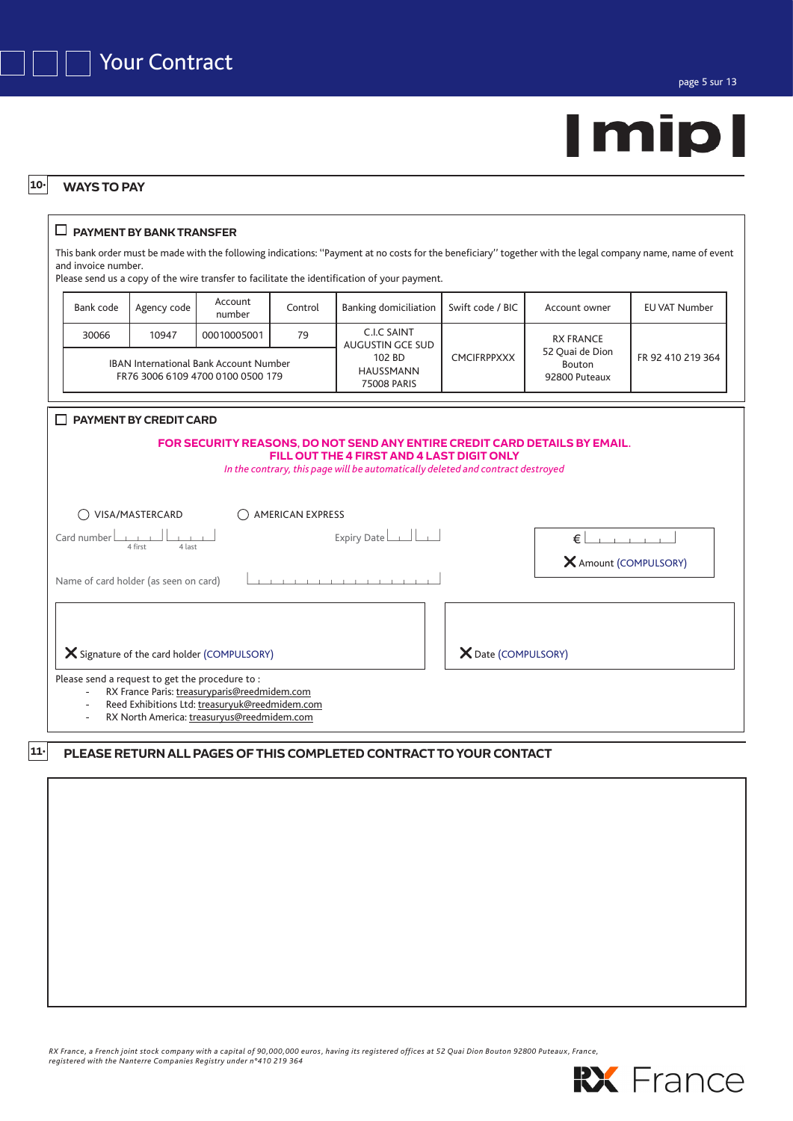



### **WAYS TO PAY 10***•*

# **PAYMENT BY BANK TRANSFER**

This bank order must be made with the following indications: ''Payment at no costs for the beneficiary'' together with the legal company name, name of event and invoice number.

Please send us a copy of the wire transfer to facilitate the identification of your payment.

| Bank code | Agency code | Account<br>number                                                                  | Control | <b>Banking domiciliation</b>              | Swift code / BIC   | Account owner                              | <b>EU VAT Number</b> |
|-----------|-------------|------------------------------------------------------------------------------------|---------|-------------------------------------------|--------------------|--------------------------------------------|----------------------|
| 30066     | 10947       | 00010005001                                                                        | 79      | C.I.C SAINT<br>AUGUSTIN GCE SUD           |                    | <b>RX FRANCE</b>                           |                      |
|           |             | <b>IBAN International Bank Account Number</b><br>FR76 3006 6109 4700 0100 0500 179 |         | 102 BD<br><b>HAUSSMANN</b><br>75008 PARIS | <b>CMCIFRPPXXX</b> | 52 Quai de Dion<br>Bouton<br>92800 Puteaux | FR 92 410 219 364    |

| <b>PAYMENT BY CREDIT CARD</b>                                                                                                                                                                               |                       |
|-------------------------------------------------------------------------------------------------------------------------------------------------------------------------------------------------------------|-----------------------|
| FOR SECURITY REASONS, DO NOT SEND ANY ENTIRE CREDIT CARD DETAILS BY EMAIL.<br>FILL OUT THE 4 FIRST AND 4 LAST DIGIT ONLY<br>In the contrary, this page will be automatically deleted and contract destroyed |                       |
| VISA/MASTERCARD<br><b>AMERICAN EXPRESS</b>                                                                                                                                                                  |                       |
| Expiry Date $\boxed{\phantom{a}}$<br>Card number<br>4 last<br>4 first                                                                                                                                       | €                     |
| Name of card holder (as seen on card)                                                                                                                                                                       | X Amount (COMPULSORY) |
| X Signature of the card holder (COMPULSORY)                                                                                                                                                                 | X Date (COMPULSORY)   |
| Please send a request to get the procedure to:<br>RX France Paris: treasuryparis@reedmidem.com<br>$\overline{\phantom{a}}$<br>Reed Exhibitions Ltd: treasuryuk@reedmidem.com<br>۰                           |                       |

RX North America: treasuryus@reedmidem.com

### **PLEASE RETURN ALL PAGES OF THIS COMPLETED CONTRACT TO YOUR CONTACT 11***•*

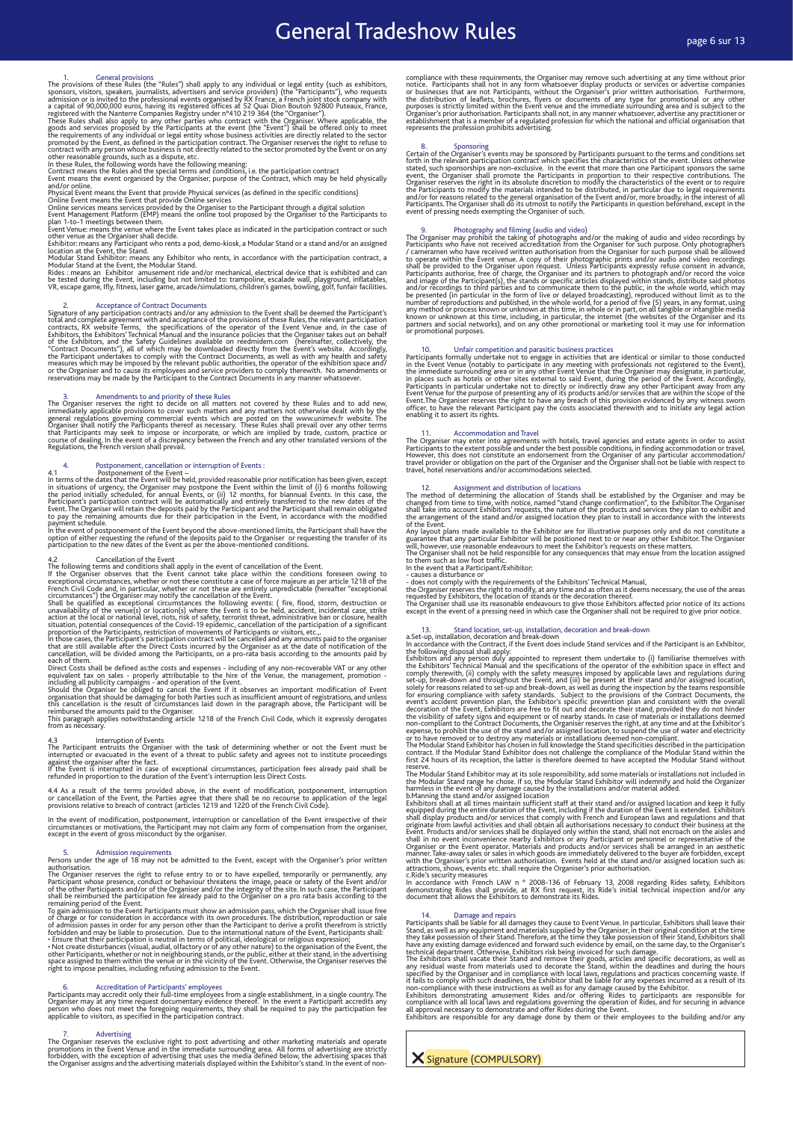# General Tradeshow Rules **Constanting Constant Constant Constant**

1.<br>
The provisions of these Rules (the "Rules") shall apply to any individual or legal entity (such as exhibitors,<br>
sponsors, visitors, speakers, journalists, advertisers and service providers) (the "Participants"), who re

2. Acceptance of Contract Documents<br>signature of any participation contracts and/or any admission to the Event shall be deemed the Participant's<br>originature of any participation contracts and/or any admission to the Semile

3. Amendments to and priority of these Rules<br>The Organiser and to add new,<br>The Organiser reseves the right to decide on all matters not covered by these Rules and to add new,<br>immediately applicable provisions to cover such

4. Postponement, cancellation or interruption of Events :<br>
As postponement of the Event –<br>
In terms of the dates that the Event will be held, provided reasonable prior notification has been given, except<br>
in istuations of

4.2 Cancellation of the Event<br>The following terms and conditions shall apply in the event of cancellation of the Event.<br>If the Organiser observes that the Event cannot take place within the conditions foreseen owing to<br>Exc French Civil Code and, in particular, whether or not these are entirely unpredictable (hereafter "exceptional circumstances") the Organiser may notify the cancellation of the Event.

Shall be qualified as exceptional circumistances the following events: (fire, flood, storn, destruction or unavailability of the venue(s) or location(s) where the Event is to be held, accident, incidental case, strike<br>acti

4.3<br>The Participant entrusts the Organiser with the task of determining whether or not the Event must be<br>The Participant entrusts the Organiser of a threat to public safety and agrees not to institute proceedings<br>against t

4.4 As a result of the terms provided above, in the event of modification, postponement, interruption<br>or cancellation of the Event, the Parties agree that there shall be no recourse to application of the legal<br>provisions r

In the event of modification, postponement, interruption or cancellation of the Event irrespective of their<br>circumstances or motivations, the Participant may not claim any form of compensation from the organiser,<br>except in

5. Admission requirements Persons under the age of 18 may not be admitted to the Event, except with the Organiser's prior written

authorisation.<br>The Organiser reserves the right to refuse entry to or to have expelled, temporarily or permanently, any<br>Participant whose presence, conduct or behaviour threatens the image, peace or safely of the other Par

space assigned to them within the venue or in the vicinity of the Event. Otherwise, the Organiser reserves the<br>right to impose penalties, including refusing admission to the Event.

6.<br>Participants may accreditation of Participants' employees from a single establishment, in a single country. The<br>Organiser may at any time request documentary evidence thereof. In the event a Participant accredits any<br>Or

7. Advertising<br>The Organiser reserves the exclusive right to post advertising and other marketing materials and operate<br>promotions in the Event Venue and in the immediate surrounding area. All forms of advertising are stri

compliance with these requirements, the Organiser may remove such advertising at any time without prior notice. Participants shall not in any form whatsoever display products or services or or businesses that are not Parti

8. Sponsoring Contains are proposed by Participants pursuant to the terms and conditions set Certain of the Organiser's events may be sponsored by Participants pursuant to the terms and conditions set forth in the relevant

9. Photography and filming (audio and video)<br>The Organiser may prohibit the taking of abitographs and/or the making of audio and video recordings by<br>Participants who have not received accreditation from the Organiser for s

10. Unfair competition and parasitic business practices<br>are cherical or similar to those conducted<br>participants formally undertake not to engage in activities that are identical or similar to those conducted<br>in the Event V

11. Accommodation and Travel<br>The Organiser may enter into agreements with hotels, travel agencies and estate agents in order to assist<br>Participants to the extent possible and under the best possible conditions, in finding

12. Assignment and distribution of locations<br>The method of determining the allocation of Stands shall be established by the Organiser and may be<br>changed from time to time, with notice, named "stand change confirmation", t

Any layout plans made available to the Exhibitor are for illustrative purposes only and do not constitute a<br>guarantee that any particular Exhibitor will be positioned next to or near any other Exhibitor. The Organiser<br>will

13.<br>
a.Set-up, installation, set-up, installation, decoration and break-down<br>
a.Set-up, installation, decoration and break-down<br>
in accoration and break-down<br>
in accoration and break-down<br>
in accoration and break-down<br>
th

The Modular Stand Exhibitor may at its sole responsibility, add some materials or installations not included in<br>the Modular Stand range he chose. If so, the Modular Stand Exhibitor will indemnify and hold the Organizer<br>the

c.Ride's security measures<br>In accordance with French LAW n ° 2008-136 of February 13, 2008 regarding Rides safety, Exhibitors<br>demonstrating Rides shall provide, at RX first request, its Ride's initial technical inspection

14. Damage and repairs and the state of the there are proportional the space of Svent Venue. In particular, Exhibitors shall leave their Stand, as well as paye ally as any equipment and materials supplied by the Organiser,

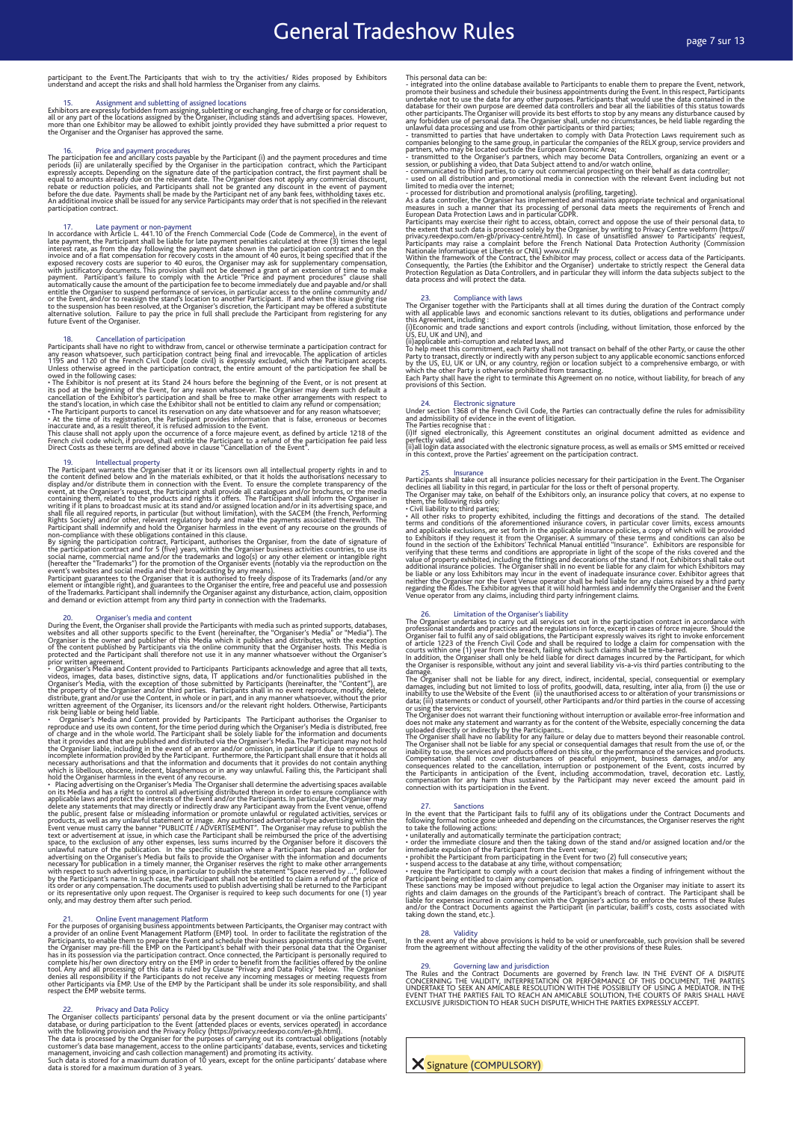# participant to the Event.The Participants that wish to try the activities/ Rides proposed by Exhibitors understand and accept the risks and shall hold harmless the Organiser from any claims.

15.<br>Exhibitors are expressly forbidden from assigning, subletting or exchanging, free of charge or for consideration,<br>all or any part of the locations assigned by the Organiser, including stands and advertising spaces. How

16. Price and payment procedures<br>a many method constant (i) and the payment procedures and time<br>participation fee and ancillary costs payable by the Participant (i) and the payment procedures and time<br>periods (ii) are unil

17. Late payment or non-payment more more than Gaussian correlations in the event of late payment, the Participant shall be liable for late payment penalties calculated at three (3) times the legal late payment, the Parti payment. Participant's failure to comply with the Article "Pirice and payment procedures" clause shall payment<br>automatically cause the amount of the participation fee to become immediately due and payable and/or shall<br>enti

18. Cacellation of participation of participation contract being the participation contract for any reason whatsoever, such participation contract being final and irrevocable. The application of articles J1195 and 1120 of

19.<br>In Intellectual property<br>mission morphy intellectual property rights in and to<br>the content defined below and in the materials exhibited, or that it holds the authorisations necessary to<br>display and/or distribute them

20. Organiser's media and content<br>During the Event, the Organiser's media and content<br>During the Event, the Organiser specific to the Event (hereinafter, the "Organiser's Media") or "Media"). The<br>Organiser is the owner and

pror written agreement.<br>
To ryaniser's Media and Content provided to Participants Participants schowledge and agree that all texts, videos, images, data bases, districtive signs, data in T applications and/or tunctionaliti

21. Online Event management Platform<br>and the comparison pointments between Participants, the Organiser may contract with<br>a provider of an online Event Management Platform (EMP) tool. In order to facilitate the registration respect the EMP website terms.

22. Privacy and Data Policy System and the spiritual by the present document or via the online participants'<br>The Organiser collects participants' personal data by the present document or via the online participants'<br>datab

This personal data can be:<br>
integrated into the online database available to Participants to enable them to prepare the Event, network, promote their business and schedule their business appointments during the Event. In t

23.<br>The Organiser together with laws<br>with all applicable laws and economic sanall at all times during the duration of the Contract comply<br>with all applicable laws and economic sanctions relevant to its duties, obligations

US, EU, UK and UN), and<br>(ii)applicable anti-corruption and related laws, and<br>To help meet this commitment, each Party shall not transact on behalf of the other Party, or cause the other<br>Party to transact, directly or indir

24. Electronic signature<br>Under section issues that the rench Civil Code, the Parties can contractually define the rules for admissibility<br>and admissibility of evidence in the event of litigation.<br>The Parties recognise that

25. Insurance policies necessary for their participation in the Event. The Organiser<br>Participants shall take out all insurance policies necessary for their participation in the Event. The Organiser<br>declines all liability i

26. Limitation of the Organisar silability considers in the participation contract in accordance with professional standards to carry out all services set out in the participation contract in accordance with professional s

The Organiser does not warrant their functioning without interruption or available error-free information and does not make any statement and warranty as for the content of the Website, especially concerning the data uploa

27. Santions the Participant fails to fulfil any of its obligations under the Contract Documents and following formal notice gone unheeded and depending on the circumstances, the Organiser reserves the right to take the f

28. Validity In the event any of the above provisions is held to be void or unenforceable, such provision shall be severed from the agreement without affecting the validity of the other provisions of these Rules.

29. Governing law and jurisdiction The Rules and the Contract Documents are governed by French law. IN THE EVENT OF A DISPUTE CONCERNING THE VALIDITY, INTERPRETATION OR PERFORMANCE OF THIS DOCUMENT, THE PARTIES UNDERTAKE TO SEEK AN AMICABLE RESOLUTION WITH THE POSSIBILITY OF USING A MEDIATOR. IN THE EVENT THAT THE PARTIES FAIL TO REACH AN AMICABLE SOLUTION, THE COURTS OF PARIS SHALL HAVE EXCLUSIVE JURISDICTION TO HEAR SUCH DISPUTE, WHICH THE PARTIES EXPRESSLY ACCEPT.

**X** Signature (COMPULSORY)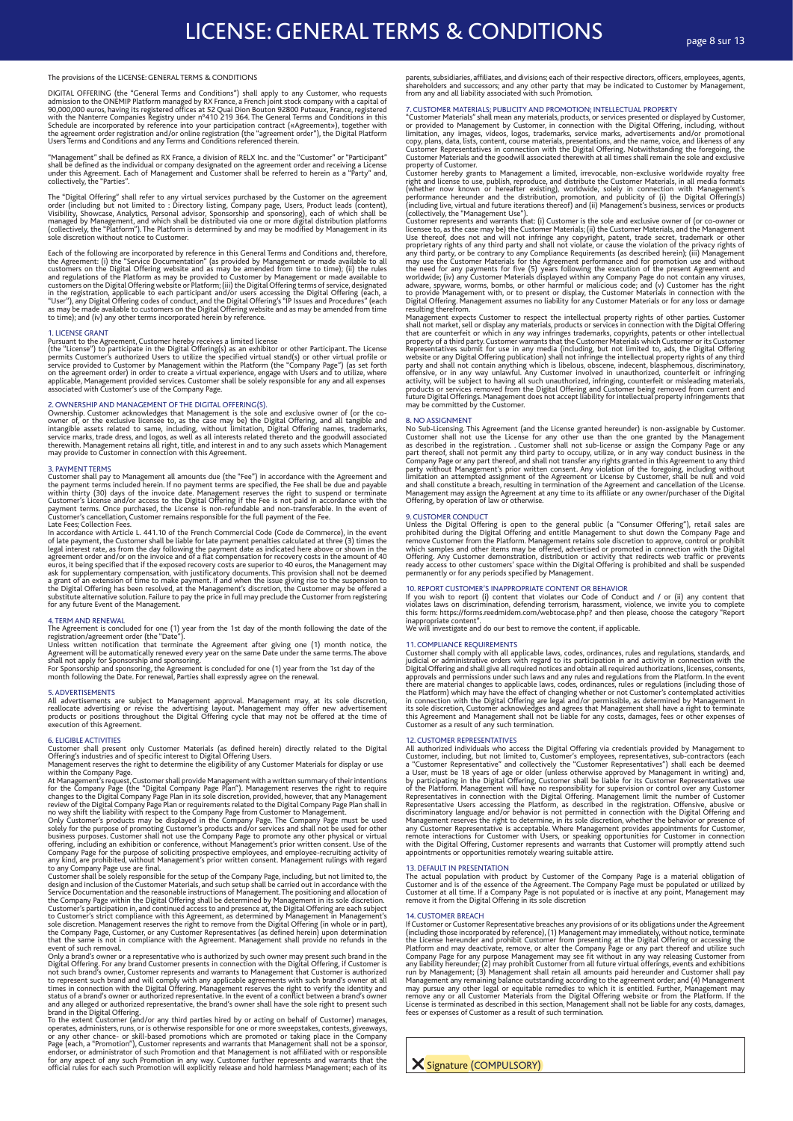## The provisions of the LICENSE: GENERAL TERMS & CONDITIONS

DIGITAL OFFERING (the "General Terms and Conditions") shall apply to any Customer, who requests<br>admission to the ONEMIP Platform managed by RX France, a French joint stock company with a capital of<br>90,000,000 euros, having

shall be defined as RX France, a division of RELX Inc. and the "Customer" or "Participant" shall be defined as the individual or company designated on the agreement order and receiving a License<br>under this Agreement. Each of Management and Customer shall be referred to herein as a "Party" and,<br>collectively, the

The "Digital Offering" shall refer to any virtual services purchased by the Customer on the agreement order (including but not limited to : Directory listing, Company page, Users, Product leads (content), Visibility, Showc

Each of the following are incorporated by reference in this General Terms and Conditions and, therefore, the Agreement: (i) the "Service Documentation" (as provided by Management or made available to all<br>customers on the D

1. LICENSE GRANT<br>Pursuant to the Agreement, Customer hereby receives a limited license<br>(the "License") to participate in the Digital Offering(s) as an exhibitor or other Participant. The License<br>(the "License") to particip

## 2. OWNERSHIP AND MANAGEMENT OF THE DIGITAL OFFERING(S).

Ownership. Customer acknowledges that Management is the sole and exclusive owner of (or the co-<br>owner of, or the exclusive licensee to, as the case may be) the Digital Offering, and all tangible and<br>intangible assets relat

3. PAYMENT TERMS<br>Customer shall pay to Management all amounts due (the "Fee") in accordance with the Agreement and<br>the payment terms included herein. If no payment terms are specified, the Fee shall be due and payable<br>with

Late Fees; Collection Fees.<br>
In accordance with Article L. 441.10 of the French Commercial Code (Code de Commerce), in the event<br>
In accordance with Article L. 441.10 of the French Commercial Code (Code de Commerce), in th

## 4. TERM AND RENEWAL

The Agreement is concluded for one (1) year from the 1st day of the month following the date of the registration/agreement order (the "Date").<br>The registration/agreement order (the "Date"). The summer determinate the same

### 5. ADVERTISEMENTS

All advertisements are subject to Management approval. Management may, at its sole discretion, reallocate advertising or revise the advertising layout. Management may offer new advertisement products or positions throughou

G. ELIGIBLE ACTIVITIES<br>Customer shall present only Customer Materials (as defined herein) directly related to the Digital<br>Offering's industries and of specific interest to Digital Offering Uses.<br>
Offering in the Company Pa

parents, subsidiaries, affiliates, and divisions; each of their respective directors, officers, employees, agents,<br>shareholders and successors; and any other party that may be indicated to Customer by Management,<br>from any

## 7. CUSTOMER MATERIALS; PUBLICITY AND PROMOTION; INTELLECTUAL PROPERTY

"Customer Materials" shall mean any materials, products, or services presented or displayed by Customer, or provided to Management by Customer, in connection unital time Digital Offering, including, without limitation, any

property of Customer. The Management a limited, irrevocable, non-exclusive worldwide royalty free right and license to use, publish, reproduce, and distribute the Customer Materials, in all media formats (whether now know

### 8. NO ASSIGNMENT

No Sub-Licensing. This Agreement (and the License granted hereunder) is non-assignable by Customer.<br>Customer shall not use the License for any other use than the one granted by the Management<br>as described in the registrati part thereof, shall not permit any third party to occupy, utilize, or in any way conduct business in the<br>Company Page or any part thereof, and shall not transfer any rights granted in this Agreement to any third<br>party with

### 9. CUSTOMER CONDUCT

Unless the Digital Offering is open to the general public (a "Consumer Offering"), retail sales are probibited during the Digital Offering and entitle Management to shut down the Company Page and enerove Customer from the

10. REPORT CUSTOMER'S INAPPROPRIATE CONTENT OR BEHAVIOR<br>If you wish to report (i) content that violates our Code of Conduct and / or (ii) any content that<br>violates laws on discrimination, defending terrorism, harassment, v inappropriate content".

We will investigate and do our best to remove the content, if applicable.

11. COMPLIANCE REQUIREMENTS<br>
Customer shall comply with all applicable laws, codes, ordinances, rules and regulations, standards, and<br>
Customer shall comply with all applicable laws, codes, ordinances, rules and regulation

12. CUSTOMER REPRESENTATIVES<br>
All authorized individuals who access the Digital Offering via credentials provided by Management to<br>
All authorized individuals who access the Digital Offering via credentatives'', sub-contra

### 13. DEFAULT IN PRESENTATION

The actual population with product by Customer of the Company Page is a material obligation of<br>Customer and is of the essence of the Agreement. The Company Page must be populated or utilized by<br>Customer at all time. If a C

14. CUSTOMER BREACH<br>
14. CUSTOMER BREACH<br>
If Customer or Customer Representative breaches any provisions of or its obligations under the Agreement<br>
(including those incorporated by reference), (1) Management may immediatel

**X** Signature (COMPULSORY)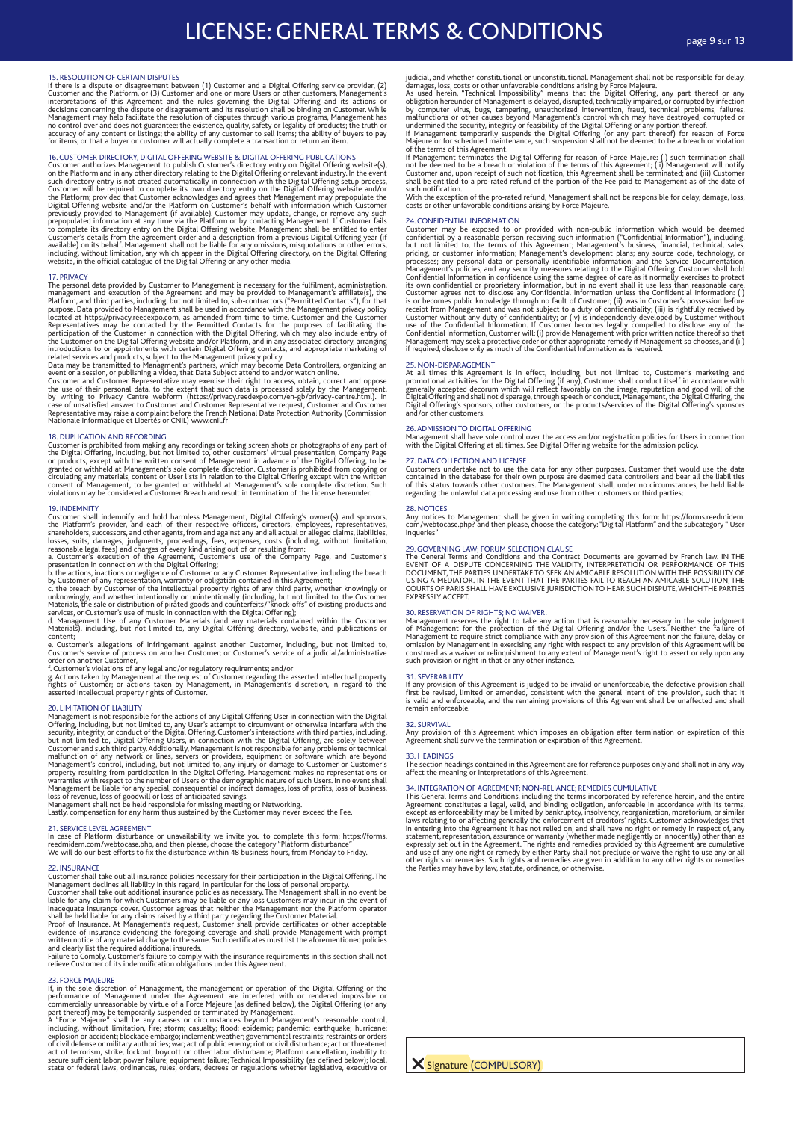15. RESOLUTION OF CERTAIN DISPUTES<br>If there is a dispute or disagreement between (1) Customer and a Digital Offering service provider, (2)<br>If there is a dispute or disagreement between (1) Customer and one or more Users or

16. CUSTOMER DIRECTORY, DIGITAL OFFERING WEBSITE & DIGITAL OFFERING PUBLICATIONS<br>Customer authorizes Management to publish Customer's directory entry on Digital Offering website(s),<br>on the Platform and in any other directo

17. PRIVACY<br>The personal data provided by Customer to Management is necessary for the fulfilment, administration,<br>The personal data provided by Customer to Management is necessary for the fulfilment, administration,<br>manage

18. DUPLICATION AND RECORDING<br>Customer is probibited from making any recordings or taking screen shots or photographs of any part of<br>Customer is prohibited from making any recordings of the Digital Offering, including, but

19. INDEMINITY<br>Customer shall indemnify and hold harmless Management, Digital Offering's owner(s) and sponsors,<br>Customer shall indemnify and hold harmless Management, Digital Offering's owner(s) and sponsors,<br>the Platform'

e. Customer's allegations of infringement against another Customer, including, but not limited to,<br>Customer's service of process on another Customer; or Customer's service of a judicial/administrative<br>order on another Cust

20. LIMITATION OF LIABILITY<br>APINTATION OF LIABILITY and Manugement is not responsible for the actions of any Digital Offering User in connection with the Digital Offering, including, but not limited to, any User's attempt

21. SERVICE LEVEL AGREEMENT<br>In case of Platform disturbance or unavailability we invite you to complete this form: https://forms.<br>reedmidem.com/webtocase.php, and then please, choose the category "Platform disturbance"<br>We

22. INSURANCE<br>
Customer shall take out all insurance policies necessary for their participation in the Digital Offering. The<br>
Customer shall take out additional insurance policies an ecessary. The Management shall take out

23. FORCE MAJEURE<br>
23. FORCE MAJEURE TREAT CONSIDER IN the management or operation of the Digital Offering or the<br>
1f, in the sole discretion of Management under the Agreement are interfered with or rendered impossible or<br>

judicial, and whether constitutional or unconstitutional. Management shall not be responsible for delay, and states, loss, costs or other unfavorable conditions arising by Force Majeure.<br>As used herein, "Technical Impossib

With the exception of the pro-rated refund, Management shall not be responsible for delay, damage, loss, costs or other unfavorable conditions arising by Force Majeure.

24. CONFIDENTIAL INFORMATION<br>
Customer may be exposed to or provided with non-public information which would be deemed<br>
Customer may be exposed to or provided with non-public information ("Confidential Information"), incl

25. NON-DISPARAGEMENT<br>At all times this Agreement is in effect, including, but not limited to, Customer's marketing and<br>promotional activities for the Digital Offering (if any), Customer shall conduct itself in accordance

26. ADMISSION TO DIGITAL OFFERING<br>Management shall have sole control over the access and/or registration policies for Users in connection<br>with the Digital Offering at all times. See Digital Offering website for the admissi

# 27. DATA COLLECTION AND LICENSE

Customers undertake not to use the data for any other purposes. Customer that would use the data<br>contained in the database for their own purpose are deemed data controllers and bear all the liabilities<br>of this status towar

### 28. NOTICES

Any notices to Management shall be given in writing completing this form: https://forms.reedmidem. com/webtocase.php? and then please, choose the category: "Digital Platform" and the subcategory " User inqueries"

## 29. GOVERNING LAW; FORUM SELECTION CLAUSE

The General Terms and Conditions and the Contract Documents are governed by French law. IN THE<br>EVENT OF A DISPUTE CONCERNING THE VALIDITY, INTERPRETATION OR PERFORMANCE OF THIS<br>DOCUMENT, THE PARTIES UNDERTAKE TO SEEK AN AM COURTS OF PARIS SHALL HAVE EXCLUSIVE JURISDICTION TO HEAR SUCH DISPUTE, WHICH THE PARTIES EXPRESSLY ACCEPT

30. RESERVATION OF RIGHTS; NO WAIVER.<br>
Management reserves the right to take any action that is reasonably necessary in the sole judgment<br>
of Management for the protection of the Digital Offering and/or the Users. Neither

## 31. SEVERABILITY

If any provision of this Agreement is judged to be invalid or unenforceable, the defective provision shall<br>first be revised, limited or amended, consistent with the general intent of the provision, such that it<br>is valid an remain enforceable.

## 32. SURVIVAL

Any provision of this Agreement which imposes an obligation after termination or expiration of this Agreement shall survive the termination or expiration of this Agreement.

### 33. HEADINGS

The section headings contained in this Agreement are for reference purposes only and shall not in any way affect the meaning or interpretations of this Agreement.

34. INTEGRATION OF AGREEMENT; NON-RELIANCE; REMEDIES CUMULATIVE<br>This General Terms and Conditions, including the terms incorporated by reference herein, and the entire<br>Agreement constitutes a legal, valid, and binding obli

**X** Signature (COMPULSORY)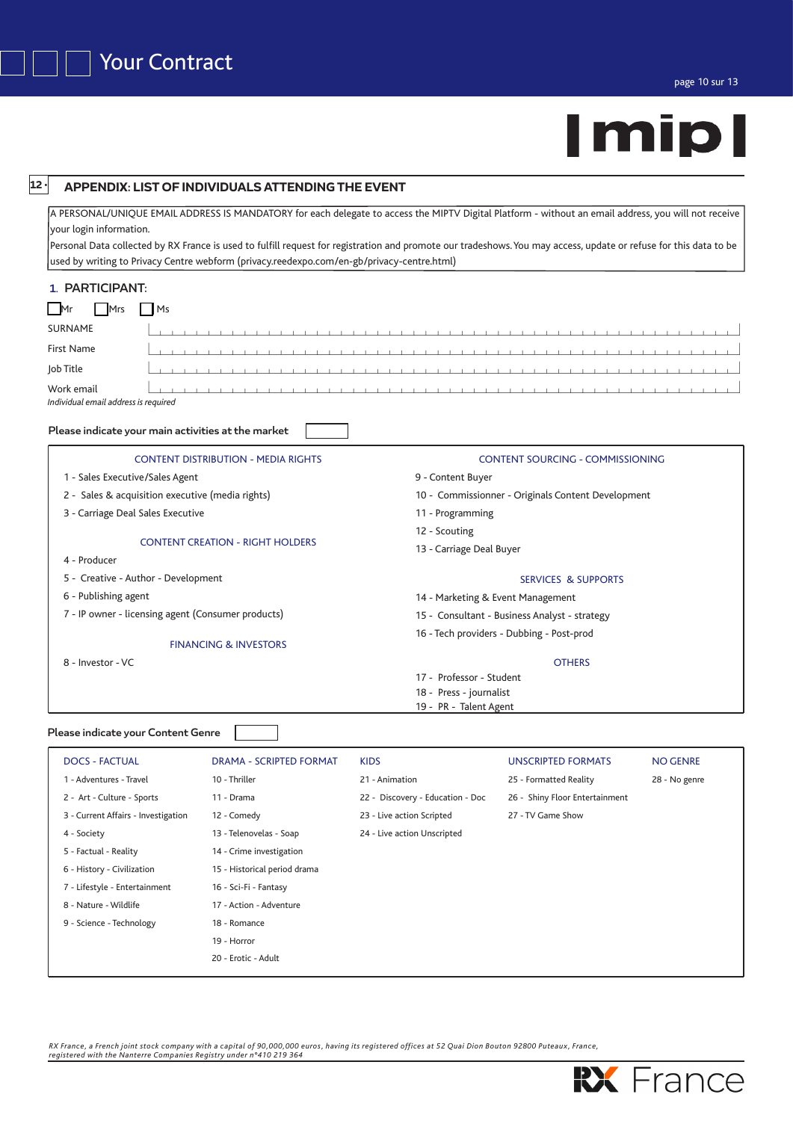# | mip

| $12 \cdot$                                         | <b>APPENDIX: LIST OF INDIVIDUALS ATTENDING THE EVENT</b>                                                                                                                                                                                                                                                                                                                                                                |                                                    |                                               |                 |  |  |  |  |  |
|----------------------------------------------------|-------------------------------------------------------------------------------------------------------------------------------------------------------------------------------------------------------------------------------------------------------------------------------------------------------------------------------------------------------------------------------------------------------------------------|----------------------------------------------------|-----------------------------------------------|-----------------|--|--|--|--|--|
| your login information.                            | A PERSONAL/UNIQUE EMAIL ADDRESS IS MANDATORY for each delegate to access the MIPTV Digital Platform - without an email address, you will not receive<br>Personal Data collected by RX France is used to fulfill request for registration and promote our tradeshows. You may access, update or refuse for this data to be<br>used by writing to Privacy Centre webform (privacy.reedexpo.com/en-gb/privacy-centre.html) |                                                    |                                               |                 |  |  |  |  |  |
| 1. PARTICIPANT:                                    |                                                                                                                                                                                                                                                                                                                                                                                                                         |                                                    |                                               |                 |  |  |  |  |  |
| Ms<br>Mrs<br>Mr                                    |                                                                                                                                                                                                                                                                                                                                                                                                                         |                                                    |                                               |                 |  |  |  |  |  |
| <b>SURNAME</b>                                     |                                                                                                                                                                                                                                                                                                                                                                                                                         |                                                    |                                               |                 |  |  |  |  |  |
| <b>First Name</b>                                  |                                                                                                                                                                                                                                                                                                                                                                                                                         |                                                    |                                               |                 |  |  |  |  |  |
| Job Title                                          |                                                                                                                                                                                                                                                                                                                                                                                                                         |                                                    |                                               |                 |  |  |  |  |  |
|                                                    |                                                                                                                                                                                                                                                                                                                                                                                                                         |                                                    |                                               |                 |  |  |  |  |  |
| Work email<br>Individual email address is required |                                                                                                                                                                                                                                                                                                                                                                                                                         | .                                                  |                                               |                 |  |  |  |  |  |
|                                                    |                                                                                                                                                                                                                                                                                                                                                                                                                         |                                                    |                                               |                 |  |  |  |  |  |
| Please indicate your main activities at the market |                                                                                                                                                                                                                                                                                                                                                                                                                         |                                                    |                                               |                 |  |  |  |  |  |
|                                                    | <b>CONTENT DISTRIBUTION - MEDIA RIGHTS</b>                                                                                                                                                                                                                                                                                                                                                                              |                                                    | <b>CONTENT SOURCING - COMMISSIONING</b>       |                 |  |  |  |  |  |
| 1 - Sales Executive/Sales Agent                    |                                                                                                                                                                                                                                                                                                                                                                                                                         | 9 - Content Buyer                                  |                                               |                 |  |  |  |  |  |
| 2 - Sales & acquisition executive (media rights)   |                                                                                                                                                                                                                                                                                                                                                                                                                         | 10 - Commissionner - Originals Content Development |                                               |                 |  |  |  |  |  |
| 3 - Carriage Deal Sales Executive                  |                                                                                                                                                                                                                                                                                                                                                                                                                         | 11 - Programming                                   |                                               |                 |  |  |  |  |  |
|                                                    | 12 - Scouting<br><b>CONTENT CREATION - RIGHT HOLDERS</b>                                                                                                                                                                                                                                                                                                                                                                |                                                    |                                               |                 |  |  |  |  |  |
|                                                    |                                                                                                                                                                                                                                                                                                                                                                                                                         | 13 - Carriage Deal Buyer                           |                                               |                 |  |  |  |  |  |
| 4 - Producer                                       |                                                                                                                                                                                                                                                                                                                                                                                                                         |                                                    |                                               |                 |  |  |  |  |  |
| 5 - Creative - Author - Development                |                                                                                                                                                                                                                                                                                                                                                                                                                         |                                                    | <b>SERVICES &amp; SUPPORTS</b>                |                 |  |  |  |  |  |
| 6 - Publishing agent                               |                                                                                                                                                                                                                                                                                                                                                                                                                         | 14 - Marketing & Event Management                  |                                               |                 |  |  |  |  |  |
| 7 - IP owner - licensing agent (Consumer products) |                                                                                                                                                                                                                                                                                                                                                                                                                         |                                                    | 15 - Consultant - Business Analyst - strategy |                 |  |  |  |  |  |
|                                                    | <b>FINANCING &amp; INVESTORS</b>                                                                                                                                                                                                                                                                                                                                                                                        |                                                    | 16 - Tech providers - Dubbing - Post-prod     |                 |  |  |  |  |  |
| 8 - Investor - VC                                  |                                                                                                                                                                                                                                                                                                                                                                                                                         |                                                    | <b>OTHERS</b>                                 |                 |  |  |  |  |  |
|                                                    |                                                                                                                                                                                                                                                                                                                                                                                                                         | 17 - Professor - Student                           |                                               |                 |  |  |  |  |  |
|                                                    |                                                                                                                                                                                                                                                                                                                                                                                                                         | 18 - Press - journalist                            |                                               |                 |  |  |  |  |  |
|                                                    |                                                                                                                                                                                                                                                                                                                                                                                                                         | 19 - PR - Talent Agent                             |                                               |                 |  |  |  |  |  |
| Please indicate your Content Genre                 |                                                                                                                                                                                                                                                                                                                                                                                                                         |                                                    |                                               |                 |  |  |  |  |  |
| <b>DOCS - FACTUAL</b>                              | <b>DRAMA - SCRIPTED FORMAT</b>                                                                                                                                                                                                                                                                                                                                                                                          | <b>KIDS</b>                                        | <b>UNSCRIPTED FORMATS</b>                     | <b>NO GENRE</b> |  |  |  |  |  |
| 1 - Adventures - Travel                            | 10 - Thriller                                                                                                                                                                                                                                                                                                                                                                                                           | 21 - Animation                                     | 25 - Formatted Reality                        | 28 - No genre   |  |  |  |  |  |
| 2 - Art - Culture - Sports                         | 11 - Drama                                                                                                                                                                                                                                                                                                                                                                                                              | 22 - Discovery - Education - Doc                   | 26 - Shiny Floor Entertainment                |                 |  |  |  |  |  |
| 3 - Current Affairs - Investigation                | 12 - Comedy                                                                                                                                                                                                                                                                                                                                                                                                             | 23 - Live action Scripted                          | 27 - TV Game Show                             |                 |  |  |  |  |  |
| 4 - Society                                        | 13 - Telenovelas - Soap                                                                                                                                                                                                                                                                                                                                                                                                 | 24 - Live action Unscripted                        |                                               |                 |  |  |  |  |  |
| 5 - Factual - Reality                              | 14 - Crime investigation                                                                                                                                                                                                                                                                                                                                                                                                |                                                    |                                               |                 |  |  |  |  |  |
| 6 - History - Civilization                         | 15 - Historical period drama                                                                                                                                                                                                                                                                                                                                                                                            |                                                    |                                               |                 |  |  |  |  |  |
| 7 - Lifestyle - Entertainment                      | 16 - Sci-Fi - Fantasy                                                                                                                                                                                                                                                                                                                                                                                                   |                                                    |                                               |                 |  |  |  |  |  |
| 8 - Nature - Wildlife                              | 17 - Action - Adventure                                                                                                                                                                                                                                                                                                                                                                                                 |                                                    |                                               |                 |  |  |  |  |  |
| 9 - Science - Technology                           | 18 - Romance                                                                                                                                                                                                                                                                                                                                                                                                            |                                                    |                                               |                 |  |  |  |  |  |

RX France, a French joint stock company with a capital of 90,000,000 euros, having its registered offices at 52 Quai Dion Bouton 92800 Puteaux, France,<br>registered with the Nanterre Companies Registry under n°410 219 364

19 - Horror 20 - Erotic - Adult

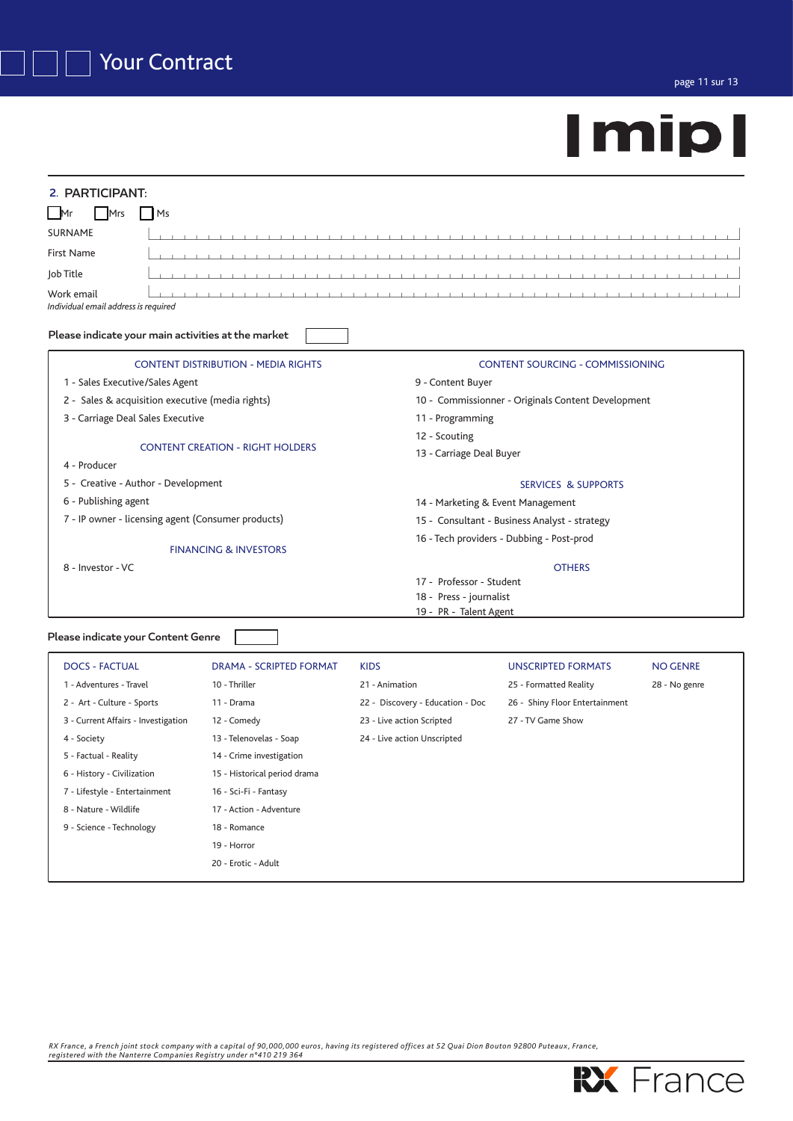| 2. PARTICIPANT:                                                |                                                                        |  |  |  |
|----------------------------------------------------------------|------------------------------------------------------------------------|--|--|--|
| 1 <sub>Ms</sub><br>l Mr<br>Mrs                                 |                                                                        |  |  |  |
| <b>SURNAME</b>                                                 | .                                                                      |  |  |  |
| <b>First Name</b>                                              |                                                                        |  |  |  |
| Job Title                                                      | .                                                                      |  |  |  |
| Work email<br>Individual email address is required             |                                                                        |  |  |  |
| Please indicate your main activities at the market             |                                                                        |  |  |  |
| <b>CONTENT DISTRIBUTION - MEDIA RIGHTS</b>                     | <b>CONTENT SOURCING - COMMISSIONING</b>                                |  |  |  |
| 1 - Sales Executive/Sales Agent                                | 9 - Content Buyer                                                      |  |  |  |
| 2 - Sales & acquisition executive (media rights)               | 10 - Commissionner - Originals Content Development<br>11 - Programming |  |  |  |
| 3 - Carriage Deal Sales Executive                              |                                                                        |  |  |  |
|                                                                | 12 - Scouting                                                          |  |  |  |
| <b>CONTENT CREATION - RIGHT HOLDERS</b><br>4 - Producer        | 13 - Carriage Deal Buyer                                               |  |  |  |
| 5 - Creative - Author - Development                            | <b>SERVICES &amp; SUPPORTS</b>                                         |  |  |  |
| 6 - Publishing agent                                           | 14 - Marketing & Event Management                                      |  |  |  |
| 7 - IP owner - licensing agent (Consumer products)             | 15 - Consultant - Business Analyst - strategy                          |  |  |  |
| <b>FINANCING &amp; INVESTORS</b>                               | 16 - Tech providers - Dubbing - Post-prod                              |  |  |  |
| 8 - Investor - VC                                              | <b>OTHERS</b>                                                          |  |  |  |
|                                                                | 17 - Professor - Student                                               |  |  |  |
|                                                                | 18 - Press - journalist                                                |  |  |  |
|                                                                | 19 - PR - Talent Agent                                                 |  |  |  |
| Please indicate your Content Genre                             |                                                                        |  |  |  |
| DOCS EACTILAL<br><b>DDAMA</b><br>COUDTED EODMAT<br><b>VIDC</b> | <b>IINICODIDTED EODMATC</b><br>NIO CENIDE                              |  |  |  |

| <b>DOCS - FACTUAL</b>               | DRAMA - SCRIPTED FORMAT      | <b>KIDS</b>                      | <b>UNSCRIPTED FORMATS</b>      | <b>NO GENRE</b> |
|-------------------------------------|------------------------------|----------------------------------|--------------------------------|-----------------|
| 1 - Adventures - Travel             | 10 - Thriller                | 21 - Animation                   | 25 - Formatted Reality         | 28 - No genre   |
| 2 - Art - Culture - Sports          | 11 - Drama                   | 22 - Discovery - Education - Doc | 26 - Shiny Floor Entertainment |                 |
| 3 - Current Affairs - Investigation | 12 - Comedy                  | 23 - Live action Scripted        | 27 - TV Game Show              |                 |
| 4 - Society                         | 13 - Telenovelas - Soap      | 24 - Live action Unscripted      |                                |                 |
| 5 - Factual - Reality               | 14 - Crime investigation     |                                  |                                |                 |
| 6 - History - Civilization          | 15 - Historical period drama |                                  |                                |                 |
| 7 - Lifestyle - Entertainment       | 16 - Sci-Fi - Fantasy        |                                  |                                |                 |
| 8 - Nature - Wildlife               | 17 - Action - Adventure      |                                  |                                |                 |
| 9 - Science - Technology            | 18 - Romance                 |                                  |                                |                 |
|                                     | 19 - Horror                  |                                  |                                |                 |
|                                     | 20 - Erotic - Adult          |                                  |                                |                 |
|                                     |                              |                                  |                                |                 |

RX France, a French joint stock company with a capital of 90,000,000 euros, having its registered offices at 52 Quai Dion Bouton 92800 Puteaux, France,<br>registered with the Nanterre Companies Registry under n°410 219 364

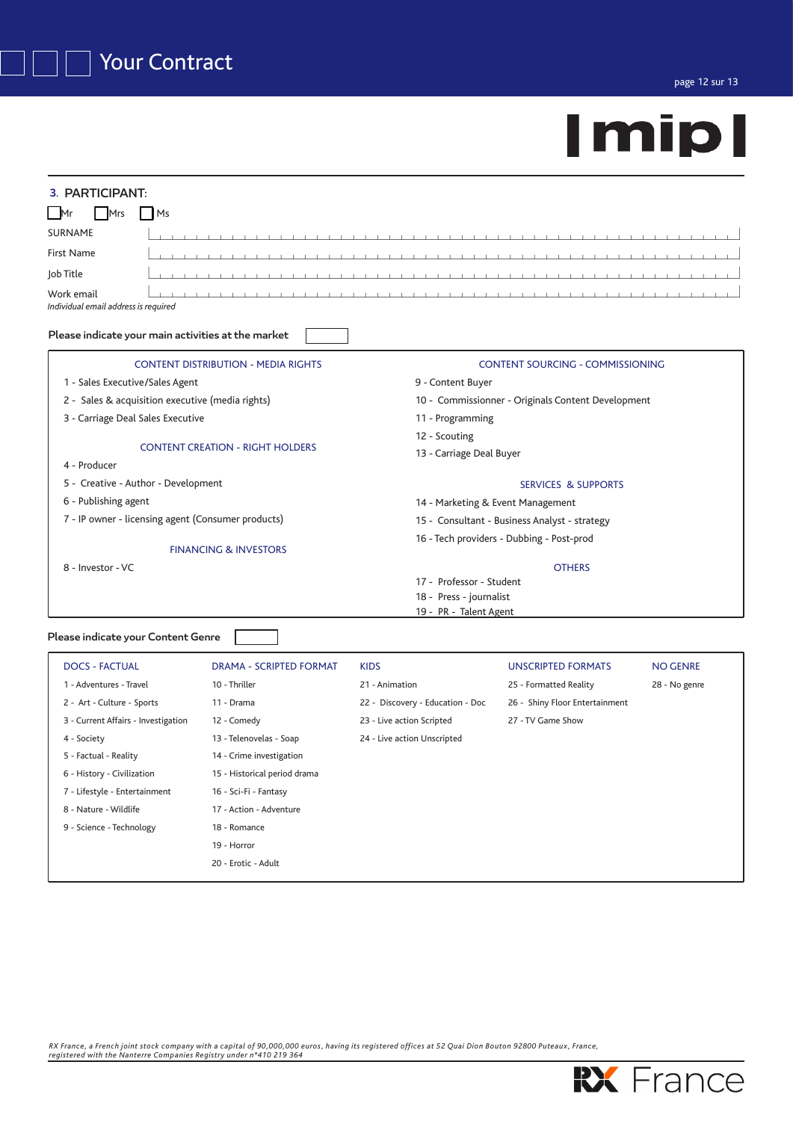| 3. PARTICIPANT:                                                 |                                                                                     |  |  |
|-----------------------------------------------------------------|-------------------------------------------------------------------------------------|--|--|
| Ms<br>l Mr<br>Mrs                                               |                                                                                     |  |  |
| <b>SURNAME</b><br>$1 - 1 - 1 - 1$                               | <b>Contract Contract Contract</b><br>$\sim$ 10<br><b>Contract Contract Contract</b> |  |  |
| <b>First Name</b><br>.                                          |                                                                                     |  |  |
| Job Title                                                       |                                                                                     |  |  |
| Work email<br>Individual email address is required              |                                                                                     |  |  |
| Please indicate your main activities at the market              |                                                                                     |  |  |
| <b>CONTENT DISTRIBUTION - MEDIA RIGHTS</b>                      | <b>CONTENT SOURCING - COMMISSIONING</b>                                             |  |  |
| 1 - Sales Executive/Sales Agent                                 | 9 - Content Buyer                                                                   |  |  |
| 2 - Sales & acquisition executive (media rights)                | 10 - Commissionner - Originals Content Development                                  |  |  |
| 3 - Carriage Deal Sales Executive                               | 11 - Programming                                                                    |  |  |
|                                                                 | 12 - Scouting                                                                       |  |  |
| <b>CONTENT CREATION - RIGHT HOLDERS</b>                         | 13 - Carriage Deal Buyer                                                            |  |  |
| 4 - Producer                                                    |                                                                                     |  |  |
| 5 - Creative - Author - Development                             | <b>SERVICES &amp; SUPPORTS</b>                                                      |  |  |
| 6 - Publishing agent                                            | 14 - Marketing & Event Management                                                   |  |  |
| 7 - IP owner - licensing agent (Consumer products)              | 15 - Consultant - Business Analyst - strategy                                       |  |  |
| <b>FINANCING &amp; INVESTORS</b>                                | 16 - Tech providers - Dubbing - Post-prod                                           |  |  |
| 8 - Investor - VC                                               | <b>OTHERS</b>                                                                       |  |  |
|                                                                 | 17 - Professor - Student                                                            |  |  |
|                                                                 | 18 - Press - journalist                                                             |  |  |
|                                                                 | 19 - PR - Talent Agent                                                              |  |  |
| Please indicate your Content Genre                              |                                                                                     |  |  |
| <b>DOCS - FACTUAL</b><br>DRAMA - SCRIPTED FORMAT<br><b>KIDS</b> | <b>UNSCRIPTED FORMATS</b><br><b>NO GENRE</b>                                        |  |  |

| <b>DOCS - FACTUAL</b>               | DRAMA - SCRIPTED FORMAT      | <b>KIDS</b>                      | <b>UNSCRIPTED FORMATS</b>      | <b>NO GENRE</b> |
|-------------------------------------|------------------------------|----------------------------------|--------------------------------|-----------------|
| 1 - Adventures - Travel             | 10 - Thriller                | 21 - Animation                   | 25 - Formatted Reality         | 28 - No genre   |
| 2 - Art - Culture - Sports          | 11 - Drama                   | 22 - Discovery - Education - Doc | 26 - Shiny Floor Entertainment |                 |
| 3 - Current Affairs - Investigation | 12 - Comedy                  | 23 - Live action Scripted        | 27 - TV Game Show              |                 |
| 4 - Society                         | 13 - Telenovelas - Soap      | 24 - Live action Unscripted      |                                |                 |
| 5 - Factual - Reality               | 14 - Crime investigation     |                                  |                                |                 |
| 6 - History - Civilization          | 15 - Historical period drama |                                  |                                |                 |
| 7 - Lifestyle - Entertainment       | 16 - Sci-Fi - Fantasy        |                                  |                                |                 |
| 8 - Nature - Wildlife               | 17 - Action - Adventure      |                                  |                                |                 |
| 9 - Science - Technology            | 18 - Romance                 |                                  |                                |                 |
|                                     | 19 - Horror                  |                                  |                                |                 |
|                                     | 20 - Erotic - Adult          |                                  |                                |                 |
|                                     |                              |                                  |                                |                 |